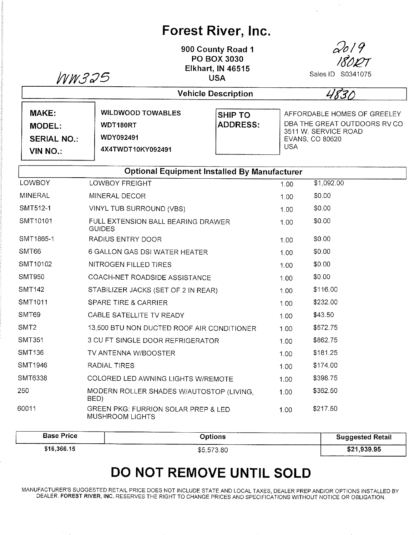## Forest River, lnc.

900 County Road <sup>1</sup> PO BOX 3030 Elkhart, lN 46515 USA  $WW$ 325 USA Sales ID S0341075



 $\mathbf{v}$ 

4830 Vehicle Description MAKE: WILDWOOD TOWABLES SHIP TO AFFORDABLE HOMES OF GREELEY ADDRESS: DBA THE GREAT OUTDOORS RV CO MODEL: WDT180RT 3511 W. SERVICE ROAD wDY092491 SERIAL NO.: EVANS, CO 80620 USA 4X4TWDT10KY092491 VIN NO.:

| <b>Optional Equipment Installed By Manufacturer</b> |                                                               |      |            |  |  |
|-----------------------------------------------------|---------------------------------------------------------------|------|------------|--|--|
| <b>LOWBOY</b>                                       | <b>LOWBOY FREIGHT</b>                                         | 1.00 | \$1,092.00 |  |  |
| <b>MINERAL</b>                                      | MINERAL DECOR                                                 | 1.00 | \$0.00     |  |  |
| SMT512-1                                            | VINYL TUB SURROUND (VBS)                                      | 1.00 | \$0.00     |  |  |
| SMT10101                                            | FULL EXTENSION BALL BEARING DRAWER<br><b>GUIDES</b>           | 1.00 | \$0.00     |  |  |
| SMT1865-1                                           | RADIUS ENTRY DOOR                                             | 1.00 | \$0.00     |  |  |
| SMT66                                               | 6 GALLON GAS DSI WATER HEATER                                 | 1.00 | \$0.00     |  |  |
| SMT10102                                            | NITROGEN FILLED TIRES                                         | 1.00 | \$0.00     |  |  |
| <b>SMT950</b>                                       | COACH-NET ROADSIDE ASSISTANCE                                 | 1.00 | \$0.00     |  |  |
| <b>SMT142</b>                                       | STABILIZER JACKS (SET OF 2 IN REAR)                           | 1.00 | \$116.00   |  |  |
| SMT1011                                             | <b>SPARE TIRE &amp; CARRIER</b>                               | 1.00 | \$232.00   |  |  |
| SMT69                                               | CABLE SATELLITE TV READY                                      | 1.00 | \$43.50    |  |  |
| SMT <sub>2</sub>                                    | 13,500 BTU NON DUCTED ROOF AIR CONDITIONER                    | 1.00 | \$572.75   |  |  |
| <b>SMT351</b>                                       | 3 CU FT SINGLE DOOR REFRIGERATOR                              | 1.00 | \$862.75   |  |  |
| <b>SMT136</b>                                       | TV ANTENNA W/BOOSTER                                          | 1.00 | \$181.25   |  |  |
| SMT1946                                             | RADIAL TIRES                                                  | 1.00 | \$174.00   |  |  |
| SMT6338                                             | COLORED LED AWNING LIGHTS W/REMOTE                            | 1.00 | \$398.75   |  |  |
| 250                                                 | MODERN ROLLER SHADES W/AUTOSTOP (LIVING,<br>BED)              | 1.00 | \$362.50   |  |  |
| 60011                                               | GREEN PKG: FURRION SOLAR PREP & LED<br><b>MUSHROOM LIGHTS</b> | 1.00 | \$217.50   |  |  |

| <b>Base Price</b> | Options<br>-------- | <b>Suggested Retail</b> |
|-------------------|---------------------|-------------------------|
| \$16,366.15       | \$5,573.80          | \$21,939.95             |

## DO NOT REMOVE UNTIL SOLD

MANUFACTURER'S SUGGESTED RETAIL PRICE DOES NOT INCLUDE STATE AND LOCAL TAXES, DEALER PREP AND/OR OPTIONS INSTALLED BY DEALER. FOREST RIVER, INC. RESERVES THE RIGHT TO CHANGE PRICES AND SPECIFICATIONS WITHOUT NOTICE OR OBLIGATION.